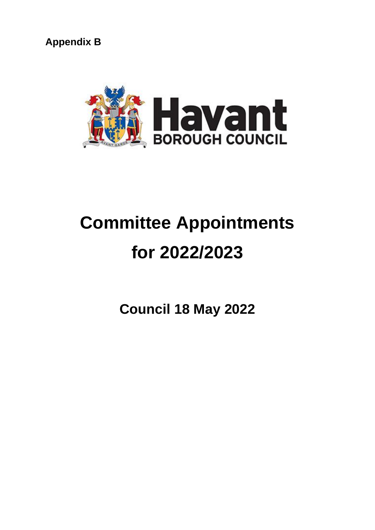**Appendix B**



# **Committee Appointments for 2022/2023**

**Council 18 May 2022**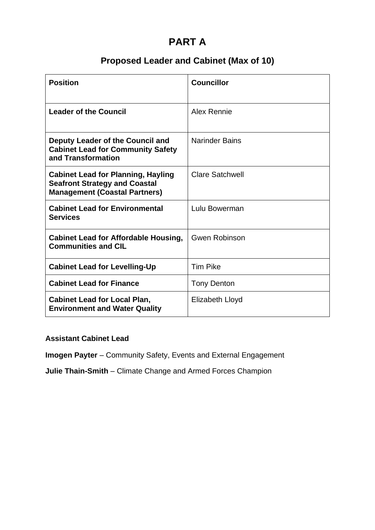# **PART A**

# **Proposed Leader and Cabinet (Max of 10)**

| <b>Position</b>                                                                                                           | <b>Councillor</b>      |
|---------------------------------------------------------------------------------------------------------------------------|------------------------|
| <b>Leader of the Council</b>                                                                                              | Alex Rennie            |
| Deputy Leader of the Council and<br><b>Cabinet Lead for Community Safety</b><br>and Transformation                        | <b>Narinder Bains</b>  |
| <b>Cabinet Lead for Planning, Hayling</b><br><b>Seafront Strategy and Coastal</b><br><b>Management (Coastal Partners)</b> | <b>Clare Satchwell</b> |
| <b>Cabinet Lead for Environmental</b><br><b>Services</b>                                                                  | Lulu Bowerman          |
| <b>Cabinet Lead for Affordable Housing,</b><br><b>Communities and CIL</b>                                                 | <b>Gwen Robinson</b>   |
| <b>Cabinet Lead for Levelling-Up</b>                                                                                      | <b>Tim Pike</b>        |
| <b>Cabinet Lead for Finance</b>                                                                                           | <b>Tony Denton</b>     |
| <b>Cabinet Lead for Local Plan,</b><br><b>Environment and Water Quality</b>                                               | <b>Elizabeth Lloyd</b> |

#### **Assistant Cabinet Lead**

**Imogen Payter** – Community Safety, Events and External Engagement

**Julie Thain-Smith** – Climate Change and Armed Forces Champion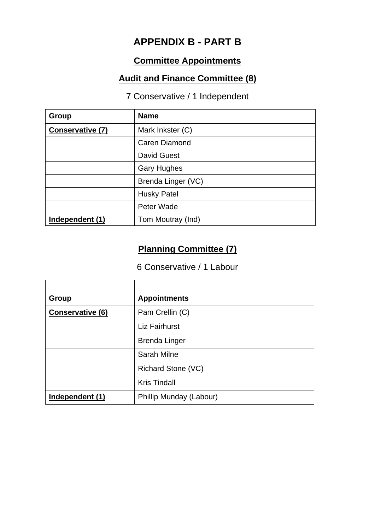# **APPENDIX B - PART B**

# **Committee Appointments**

#### **Audit and Finance Committee (8)**

#### 7 Conservative / 1 Independent

| Group                   | <b>Name</b>        |
|-------------------------|--------------------|
| <b>Conservative (7)</b> | Mark Inkster (C)   |
|                         | Caren Diamond      |
|                         | <b>David Guest</b> |
|                         | <b>Gary Hughes</b> |
|                         | Brenda Linger (VC) |
|                         | <b>Husky Patel</b> |
|                         | Peter Wade         |
| Independent (1)         | Tom Moutray (Ind)  |

# **Planning Committee (7)**

#### 6 Conservative / 1 Labour

| Group                   | <b>Appointments</b>     |
|-------------------------|-------------------------|
| <b>Conservative (6)</b> | Pam Crellin (C)         |
|                         | <b>Liz Fairhurst</b>    |
|                         | <b>Brenda Linger</b>    |
|                         | <b>Sarah Milne</b>      |
|                         | Richard Stone (VC)      |
|                         | <b>Kris Tindall</b>     |
| Independent (1)         | Phillip Munday (Labour) |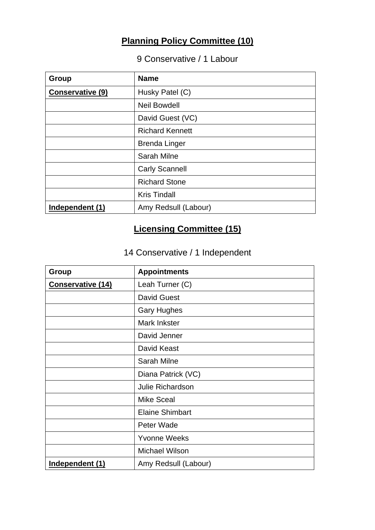# **Planning Policy Committee (10)**

# 9 Conservative / 1 Labour

| Group                   | <b>Name</b>            |
|-------------------------|------------------------|
| <b>Conservative (9)</b> | Husky Patel (C)        |
|                         | <b>Neil Bowdell</b>    |
|                         | David Guest (VC)       |
|                         | <b>Richard Kennett</b> |
|                         | <b>Brenda Linger</b>   |
|                         | <b>Sarah Milne</b>     |
|                         | <b>Carly Scannell</b>  |
|                         | <b>Richard Stone</b>   |
|                         | <b>Kris Tindall</b>    |
| Independent (1)         | Amy Redsull (Labour)   |

# **Licensing Committee (15)**

# 14 Conservative / 1 Independent

| Group                    | <b>Appointments</b>     |
|--------------------------|-------------------------|
| <b>Conservative (14)</b> | Leah Turner (C)         |
|                          | <b>David Guest</b>      |
|                          | <b>Gary Hughes</b>      |
|                          | Mark Inkster            |
|                          | David Jenner            |
|                          | David Keast             |
|                          | <b>Sarah Milne</b>      |
|                          | Diana Patrick (VC)      |
|                          | <b>Julie Richardson</b> |
|                          | <b>Mike Sceal</b>       |
|                          | <b>Elaine Shimbart</b>  |
|                          | Peter Wade              |
|                          | <b>Yvonne Weeks</b>     |
|                          | <b>Michael Wilson</b>   |
| Independent (1)          | Amy Redsull (Labour)    |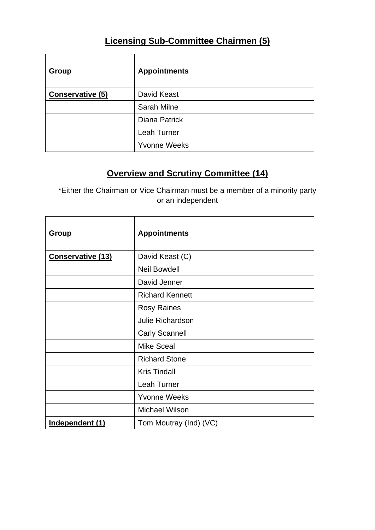# **Licensing Sub-Committee Chairmen (5)**

| Group            | <b>Appointments</b> |
|------------------|---------------------|
| Conservative (5) | David Keast         |
|                  | <b>Sarah Milne</b>  |
|                  | Diana Patrick       |
|                  | Leah Turner         |
|                  | <b>Yvonne Weeks</b> |

# **Overview and Scrutiny Committee (14)**

\*Either the Chairman or Vice Chairman must be a member of a minority party or an independent

| Group                    | <b>Appointments</b>     |
|--------------------------|-------------------------|
| <b>Conservative (13)</b> | David Keast (C)         |
|                          | <b>Neil Bowdell</b>     |
|                          | David Jenner            |
|                          | <b>Richard Kennett</b>  |
|                          | <b>Rosy Raines</b>      |
|                          | <b>Julie Richardson</b> |
|                          | <b>Carly Scannell</b>   |
|                          | <b>Mike Sceal</b>       |
|                          | <b>Richard Stone</b>    |
|                          | <b>Kris Tindall</b>     |
|                          | Leah Turner             |
|                          | <b>Yvonne Weeks</b>     |
|                          | Michael Wilson          |
| Independent (1)          | Tom Moutray (Ind) (VC)  |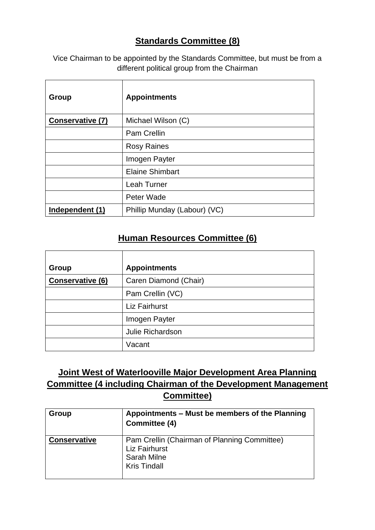#### **Standards Committee (8)**

Vice Chairman to be appointed by the Standards Committee, but must be from a different political group from the Chairman

| Group                   | <b>Appointments</b>          |
|-------------------------|------------------------------|
| <b>Conservative (7)</b> | Michael Wilson (C)           |
|                         | <b>Pam Crellin</b>           |
|                         | <b>Rosy Raines</b>           |
|                         | Imogen Payter                |
|                         | <b>Elaine Shimbart</b>       |
|                         | <b>Leah Turner</b>           |
|                         | Peter Wade                   |
| Independent (1)         | Phillip Munday (Labour) (VC) |

#### **Human Resources Committee (6)**

| Group            | <b>Appointments</b>   |
|------------------|-----------------------|
| Conservative (6) | Caren Diamond (Chair) |
|                  | Pam Crellin (VC)      |
|                  | <b>Liz Fairhurst</b>  |
|                  | Imogen Payter         |
|                  | Julie Richardson      |
|                  | Vacant                |

#### **Joint West of Waterlooville Major Development Area Planning Committee (4 including Chairman of the Development Management Committee)**

| Group               | Appointments - Must be members of the Planning<br>Committee (4)                                            |
|---------------------|------------------------------------------------------------------------------------------------------------|
| <b>Conservative</b> | Pam Crellin (Chairman of Planning Committee)<br>Liz Fairhurst<br><b>Sarah Milne</b><br><b>Kris Tindall</b> |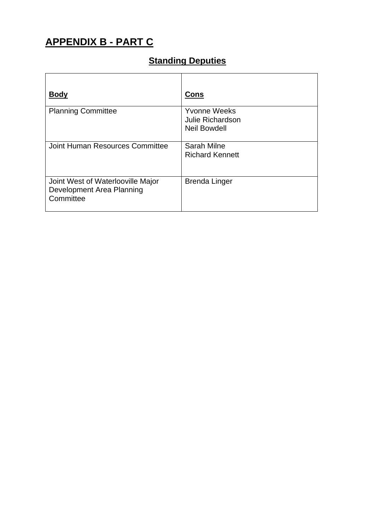# **APPENDIX B - PART C**

# **Standing Deputies**

| <b>Body</b>                                                                 | Cons                                                                  |
|-----------------------------------------------------------------------------|-----------------------------------------------------------------------|
| <b>Planning Committee</b>                                                   | <b>Yvonne Weeks</b><br><b>Julie Richardson</b><br><b>Neil Bowdell</b> |
| Joint Human Resources Committee                                             | Sarah Milne<br><b>Richard Kennett</b>                                 |
| Joint West of Waterlooville Major<br>Development Area Planning<br>Committee | <b>Brenda Linger</b>                                                  |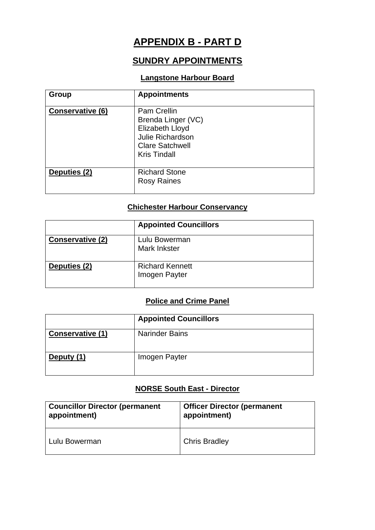# **APPENDIX B - PART D**

#### **SUNDRY APPOINTMENTS**

#### **Langstone Harbour Board**

| Group                   | <b>Appointments</b>                                                                                                                            |
|-------------------------|------------------------------------------------------------------------------------------------------------------------------------------------|
| <b>Conservative (6)</b> | <b>Pam Crellin</b><br>Brenda Linger (VC)<br><b>Elizabeth Lloyd</b><br><b>Julie Richardson</b><br><b>Clare Satchwell</b><br><b>Kris Tindall</b> |
| Deputies (2)            | <b>Richard Stone</b><br><b>Rosy Raines</b>                                                                                                     |

#### **Chichester Harbour Conservancy**

|                         | <b>Appointed Councillors</b>            |
|-------------------------|-----------------------------------------|
| <b>Conservative (2)</b> | Lulu Bowerman<br>Mark Inkster           |
| Deputies (2)            | <b>Richard Kennett</b><br>Imogen Payter |

#### **Police and Crime Panel**

|                  | <b>Appointed Councillors</b> |
|------------------|------------------------------|
| Conservative (1) | <b>Narinder Bains</b>        |
| Deputy (1)       | Imogen Payter                |

#### **NORSE South East - Director**

| <b>Councillor Director (permanent</b> | <b>Officer Director (permanent</b> |
|---------------------------------------|------------------------------------|
| appointment)                          | appointment)                       |
| Lulu Bowerman                         | <b>Chris Bradley</b>               |